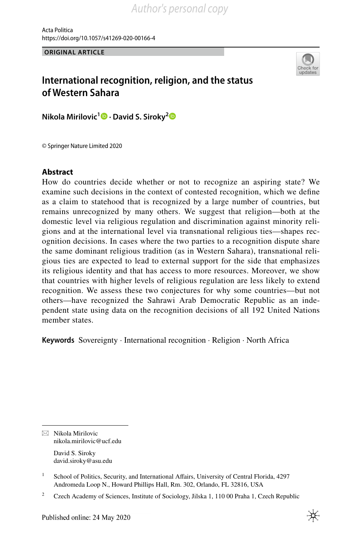Acta Politica https://doi.org/10.1057/s41269-020-00166-4

**ORIGINAL ARTICLE**



# **International recognition, religion, and the status of Western Sahara**

**Nikola Mirilovic1  [·](http://orcid.org/0000-0002-9705-2629) David S. Siroky[2](http://orcid.org/0000-0002-6234-0460)**

© Springer Nature Limited 2020

# **Abstract**

How do countries decide whether or not to recognize an aspiring state? We examine such decisions in the context of contested recognition, which we defne as a claim to statehood that is recognized by a large number of countries, but remains unrecognized by many others. We suggest that religion—both at the domestic level via religious regulation and discrimination against minority religions and at the international level via transnational religious ties—shapes recognition decisions. In cases where the two parties to a recognition dispute share the same dominant religious tradition (as in Western Sahara), transnational religious ties are expected to lead to external support for the side that emphasizes its religious identity and that has access to more resources. Moreover, we show that countries with higher levels of religious regulation are less likely to extend recognition. We assess these two conjectures for why some countries—but not others—have recognized the Sahrawi Arab Democratic Republic as an independent state using data on the recognition decisions of all 192 United Nations member states.

**Keywords** Sovereignty · International recognition · Religion · North Africa

 $\boxtimes$  Nikola Mirilovic nikola.mirilovic@ucf.edu

> David S. Siroky david.siroky@asu.edu

<sup>&</sup>lt;sup>1</sup> School of Politics, Security, and International Affairs, University of Central Florida, 4297 Andromeda Loop N., Howard Phillips Hall, Rm. 302, Orlando, FL 32816, USA

<sup>&</sup>lt;sup>2</sup> Czech Academy of Sciences, Institute of Sociology, Jilska 1, 110 00 Praha 1, Czech Republic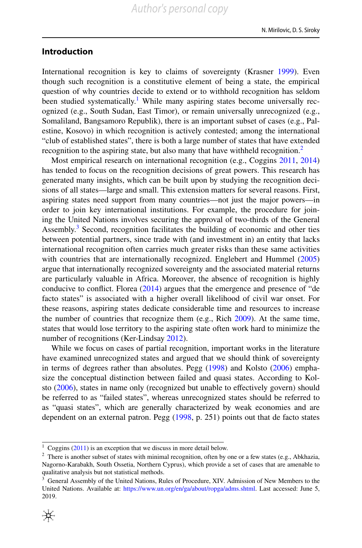# **Introduction**

International recognition is key to claims of sovereignty (Krasner [1999](#page-17-0)). Even though such recognition is a constitutive element of being a state, the empirical question of why countries decide to extend or to withhold recognition has seldom been studied systematically.<sup>[1](#page-1-0)</sup> While many aspiring states become universally recognized (e.g., South Sudan, East Timor), or remain universally unrecognized (e.g., Somaliland, Bangsamoro Republik), there is an important subset of cases (e.g., Palestine, Kosovo) in which recognition is actively contested; among the international "club of established states", there is both a large number of states that have extended recognition to the aspiring state, but also many that have withheld recognition.<sup>[2](#page-1-1)</sup>

Most empirical research on international recognition (e.g., Coggins [2011](#page-16-0), [2014](#page-18-0)) has tended to focus on the recognition decisions of great powers. This research has generated many insights, which can be built upon by studying the recognition decisions of all states—large and small. This extension matters for several reasons. First, aspiring states need support from many countries—not just the major powers—in order to join key international institutions. For example, the procedure for joining the United Nations involves securing the approval of two-thirds of the General Assembly. $3$  Second, recognition facilitates the building of economic and other ties between potential partners, since trade with (and investment in) an entity that lacks international recognition often carries much greater risks than these same activities with countries that are internationally recognized. Englebert and Hummel [\(2005](#page-16-1)) argue that internationally recognized sovereignty and the associated material returns are particularly valuable in Africa. Moreover, the absence of recognition is highly conducive to confict. Florea [\(2014](#page-16-2)) argues that the emergence and presence of "de facto states" is associated with a higher overall likelihood of civil war onset. For these reasons, aspiring states dedicate considerable time and resources to increase the number of countries that recognize them (e.g., Rich [2009\)](#page-17-1). At the same time, states that would lose territory to the aspiring state often work hard to minimize the number of recognitions (Ker-Lindsay [2012](#page-17-2)).

While we focus on cases of partial recognition, important works in the literature have examined unrecognized states and argued that we should think of sovereignty in terms of degrees rather than absolutes. Pegg ([1998\)](#page-17-3) and Kolsto [\(2006](#page-17-4)) emphasize the conceptual distinction between failed and quasi states. According to Kolsto ([2006\)](#page-17-4), states in name only (recognized but unable to efectively govern) should be referred to as "failed states", whereas unrecognized states should be referred to as "quasi states", which are generally characterized by weak economies and are dependent on an external patron. Pegg ([1998,](#page-17-3) p. 251) points out that de facto states

<span id="page-1-0"></span><sup>&</sup>lt;sup>1</sup> Coggins [\(2011](#page-16-0)) is an exception that we discuss in more detail below.

<span id="page-1-1"></span> $2$  There is another subset of states with minimal recognition, often by one or a few states (e.g., Abkhazia, Nagorno-Karabakh, South Ossetia, Northern Cyprus), which provide a set of cases that are amenable to qualitative analysis but not statistical methods.

<span id="page-1-2"></span><sup>&</sup>lt;sup>3</sup> General Assembly of the United Nations, Rules of Procedure, XIV. Admission of New Members to the United Nations. Available at: [https://www.un.org/en/ga/about/ropga/adms.shtml.](https://www.un.org/en/ga/about/ropga/adms.shtml) Last accessed: June 5, 2019.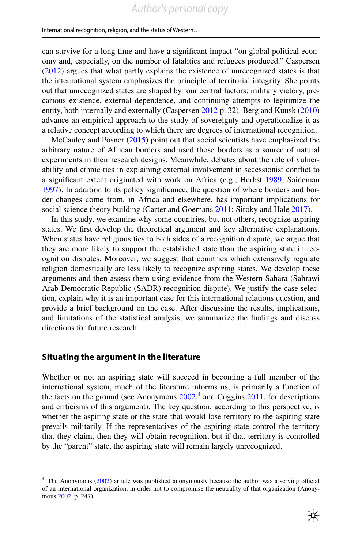can survive for a long time and have a signifcant impact "on global political economy and, especially, on the number of fatalities and refugees produced." Caspersen [\(2012](#page-16-3)) argues that what partly explains the existence of unrecognized states is that the international system emphasizes the principle of territorial integrity. She points out that unrecognized states are shaped by four central factors: military victory, precarious existence, external dependence, and continuing attempts to legitimize the entity, both internally and externally (Caspersen [2012](#page-16-3) p. 32). Berg and Kuusk [\(2010](#page-16-4)) advance an empirical approach to the study of sovereignty and operationalize it as a relative concept according to which there are degrees of international recognition.

McCauley and Posner ([2015\)](#page-17-5) point out that social scientists have emphasized the arbitrary nature of African borders and used those borders as a source of natural experiments in their research designs. Meanwhile, debates about the role of vulnerability and ethnic ties in explaining external involvement in secessionist confict to a signifcant extent originated with work on Africa (e.g., Herbst [1989](#page-17-6); Saideman [1997](#page-17-7)). In addition to its policy signifcance, the question of where borders and border changes come from, in Africa and elsewhere, has important implications for social science theory building (Carter and Goemans [2011](#page-16-5); Siroky and Hale [2017\)](#page-17-8).

In this study, we examine why some countries, but not others, recognize aspiring states. We frst develop the theoretical argument and key alternative explanations. When states have religious ties to both sides of a recognition dispute, we argue that they are more likely to support the established state than the aspiring state in recognition disputes. Moreover, we suggest that countries which extensively regulate religion domestically are less likely to recognize aspiring states. We develop these arguments and then assess them using evidence from the Western Sahara (Sahrawi Arab Democratic Republic (SADR) recognition dispute). We justify the case selection, explain why it is an important case for this international relations question, and provide a brief background on the case. After discussing the results, implications, and limitations of the statistical analysis, we summarize the fndings and discuss directions for future research.

# **Situating the argument in the literature**

Whether or not an aspiring state will succeed in becoming a full member of the international system, much of the literature informs us, is primarily a function of the facts on the ground (see Anonymous  $2002<sup>4</sup>$  $2002<sup>4</sup>$  $2002<sup>4</sup>$  and Coggins  $2011$ , for descriptions and criticisms of this argument). The key question, according to this perspective, is whether the aspiring state or the state that would lose territory to the aspiring state prevails militarily. If the representatives of the aspiring state control the territory that they claim, then they will obtain recognition; but if that territory is controlled by the "parent" state, the aspiring state will remain largely unrecognized.

<span id="page-2-0"></span> $4$  The Anonymous [\(2002](#page-16-6)) article was published anonymously because the author was a serving official of an international organization, in order not to compromise the neutrality of that organization (Anonymous [2002](#page-16-6), p. 247).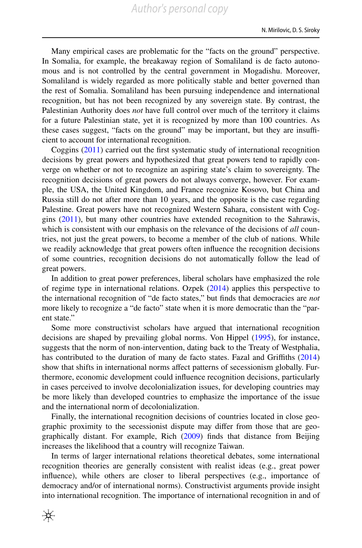Many empirical cases are problematic for the "facts on the ground" perspective. In Somalia, for example, the breakaway region of Somaliland is de facto autonomous and is not controlled by the central government in Mogadishu. Moreover, Somaliland is widely regarded as more politically stable and better governed than the rest of Somalia. Somaliland has been pursuing independence and international recognition, but has not been recognized by any sovereign state. By contrast, the Palestinian Authority does *not* have full control over much of the territory it claims for a future Palestinian state, yet it is recognized by more than 100 countries. As these cases suggest, "facts on the ground" may be important, but they are insufficient to account for international recognition.

Coggins ([2011\)](#page-16-0) carried out the frst systematic study of international recognition decisions by great powers and hypothesized that great powers tend to rapidly converge on whether or not to recognize an aspiring state's claim to sovereignty. The recognition decisions of great powers do not always converge, however. For example, the USA, the United Kingdom, and France recognize Kosovo, but China and Russia still do not after more than 10 years, and the opposite is the case regarding Palestine. Great powers have not recognized Western Sahara, consistent with Coggins ([2011\)](#page-16-0), but many other countries have extended recognition to the Sahrawis, which is consistent with our emphasis on the relevance of the decisions of *all* countries, not just the great powers, to become a member of the club of nations. While we readily acknowledge that great powers often infuence the recognition decisions of some countries, recognition decisions do not automatically follow the lead of great powers.

In addition to great power preferences, liberal scholars have emphasized the role of regime type in international relations. Ozpek ([2014\)](#page-17-9) applies this perspective to the international recognition of "de facto states," but fnds that democracies are *not* more likely to recognize a "de facto" state when it is more democratic than the "parent state."

Some more constructivist scholars have argued that international recognition decisions are shaped by prevailing global norms. Von Hippel ([1995\)](#page-17-10), for instance, suggests that the norm of non-intervention, dating back to the Treaty of Westphalia, has contributed to the duration of many de facto states. Fazal and Grifths [\(2014](#page-16-7)) show that shifts in international norms afect patterns of secessionism globally. Furthermore, economic development could infuence recognition decisions, particularly in cases perceived to involve decolonialization issues, for developing countries may be more likely than developed countries to emphasize the importance of the issue and the international norm of decolonialization.

Finally, the international recognition decisions of countries located in close geographic proximity to the secessionist dispute may difer from those that are geographically distant. For example, Rich [\(2009](#page-17-1)) fnds that distance from Beijing increases the likelihood that a country will recognize Taiwan.

In terms of larger international relations theoretical debates, some international recognition theories are generally consistent with realist ideas (e.g., great power infuence), while others are closer to liberal perspectives (e.g., importance of democracy and/or of international norms). Constructivist arguments provide insight into international recognition. The importance of international recognition in and of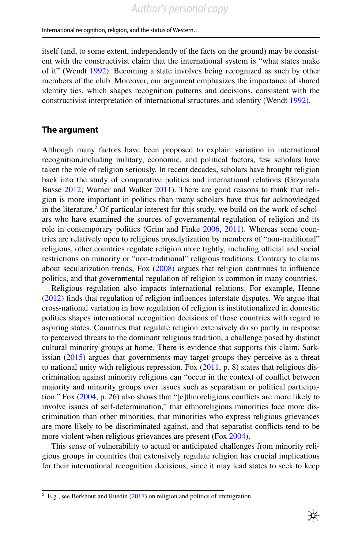itself (and, to some extent, independently of the facts on the ground) may be consistent with the constructivist claim that the international system is "what states make of it" (Wendt [1992\)](#page-17-11). Becoming a state involves being recognized as such by other members of the club. Moreover, our argument emphasizes the importance of shared identity ties, which shapes recognition patterns and decisions, consistent with the constructivist interpretation of international structures and identity (Wendt [1992\)](#page-17-11).

# **The argument**

Although many factors have been proposed to explain variation in international recognition,including military, economic, and political factors, few scholars have taken the role of religion seriously. In recent decades, scholars have brought religion back into the study of comparative politics and international relations (Grzymala Busse [2012](#page-16-8); Warner and Walker [2011](#page-17-12)). There are good reasons to think that religion is more important in politics than many scholars have thus far acknowledged in the literature.<sup>5</sup> Of particular interest for this study, we build on the work of scholars who have examined the sources of governmental regulation of religion and its role in contemporary politics (Grim and Finke [2006,](#page-16-9) [2011\)](#page-16-10). Whereas some countries are relatively open to religious proselytization by members of "non-traditional" religions, other countries regulate religion more tightly, including official and social restrictions on minority or "non-traditional" religious traditions. Contrary to claims about secularization trends, Fox ([2008\)](#page-16-11) argues that religion continues to infuence politics, and that governmental regulation of religion is common in many countries.

Religious regulation also impacts international relations. For example, Henne [\(2012](#page-17-13)) fnds that regulation of religion infuences interstate disputes. We argue that cross-national variation in how regulation of religion is institutionalized in domestic politics shapes international recognition decisions of those countries with regard to aspiring states. Countries that regulate religion extensively do so partly in response to perceived threats to the dominant religious tradition, a challenge posed by distinct cultural minority groups at home. There is evidence that supports this claim. Sarkissian ([2015\)](#page-17-14) argues that governments may target groups they perceive as a threat to national unity with religious repression. Fox  $(2011, p. 8)$  $(2011, p. 8)$  states that religious discrimination against minority religions can "occur in the context of confict between majority and minority groups over issues such as separatism or political participation." Fox ([2004,](#page-16-13) p. 26) also shows that "[e]thnoreligious conficts are more likely to involve issues of self-determination," that ethnoreligious minorities face more discrimination than other minorities, that minorities who express religious grievances are more likely to be discriminated against, and that separatist conficts tend to be more violent when religious grievances are present (Fox [2004](#page-16-13)).

This sense of vulnerability to actual or anticipated challenges from minority religious groups in countries that extensively regulate religion has crucial implications for their international recognition decisions, since it may lead states to seek to keep

<span id="page-4-0"></span> $5$  E.g., see Berkhout and Ruedin ([2017\)](#page-16-14) on religion and politics of immigration.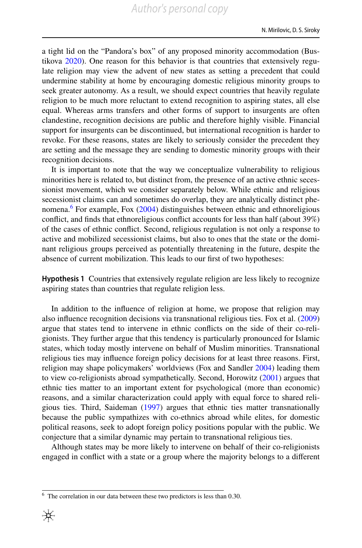a tight lid on the "Pandora's box" of any proposed minority accommodation (Bustikova [2020](#page-16-15)). One reason for this behavior is that countries that extensively regulate religion may view the advent of new states as setting a precedent that could undermine stability at home by encouraging domestic religious minority groups to seek greater autonomy. As a result, we should expect countries that heavily regulate religion to be much more reluctant to extend recognition to aspiring states, all else equal. Whereas arms transfers and other forms of support to insurgents are often clandestine, recognition decisions are public and therefore highly visible. Financial support for insurgents can be discontinued, but international recognition is harder to revoke. For these reasons, states are likely to seriously consider the precedent they are setting and the message they are sending to domestic minority groups with their recognition decisions.

It is important to note that the way we conceptualize vulnerability to religious minorities here is related to, but distinct from, the presence of an active ethnic secessionist movement, which we consider separately below. While ethnic and religious secessionist claims can and sometimes do overlap, they are analytically distinct phe-nomena.<sup>6</sup> For example, Fox ([2004\)](#page-16-13) distinguishes between ethnic and ethnoreligious confict, and fnds that ethnoreligious confict accounts for less than half (about 39%) of the cases of ethnic confict. Second, religious regulation is not only a response to active and mobilized secessionist claims, but also to ones that the state or the dominant religious groups perceived as potentially threatening in the future, despite the absence of current mobilization. This leads to our frst of two hypotheses:

<span id="page-5-1"></span>**Hypothesis 1** Countries that extensively regulate religion are less likely to recognize aspiring states than countries that regulate religion less.

In addition to the infuence of religion at home, we propose that religion may also infuence recognition decisions via transnational religious ties. Fox et al. [\(2009](#page-16-16)) argue that states tend to intervene in ethnic conficts on the side of their co-religionists. They further argue that this tendency is particularly pronounced for Islamic states, which today mostly intervene on behalf of Muslim minorities. Transnational religious ties may infuence foreign policy decisions for at least three reasons. First, religion may shape policymakers' worldviews (Fox and Sandler [2004](#page-16-17)) leading them to view co-religionists abroad sympathetically. Second, Horowitz ([2001\)](#page-17-15) argues that ethnic ties matter to an important extent for psychological (more than economic) reasons, and a similar characterization could apply with equal force to shared religious ties. Third, Saideman [\(1997](#page-17-7)) argues that ethnic ties matter transnationally because the public sympathizes with co-ethnics abroad while elites, for domestic political reasons, seek to adopt foreign policy positions popular with the public. We conjecture that a similar dynamic may pertain to transnational religious ties.

Although states may be more likely to intervene on behalf of their co-religionists engaged in confict with a state or a group where the majority belongs to a diferent

<span id="page-5-0"></span> $6\text{ The correlation in our data between these two predictors is less than 0.30.}$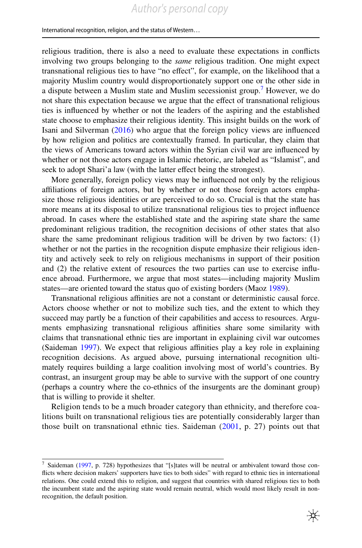religious tradition, there is also a need to evaluate these expectations in conficts involving two groups belonging to the *same* religious tradition. One might expect transnational religious ties to have "no efect", for example, on the likelihood that a majority Muslim country would disproportionately support one or the other side in a dispute between a Muslim state and Muslim secessionist group.<sup>[7](#page-6-0)</sup> However, we do not share this expectation because we argue that the efect of transnational religious ties is infuenced by whether or not the leaders of the aspiring and the established state choose to emphasize their religious identity. This insight builds on the work of Isani and Silverman ([2016\)](#page-17-16) who argue that the foreign policy views are infuenced by how religion and politics are contextually framed. In particular, they claim that the views of Americans toward actors within the Syrian civil war are infuenced by whether or not those actors engage in Islamic rhetoric, are labeled as "Islamist", and seek to adopt Shari'a law (with the latter effect being the strongest).

More generally, foreign policy views may be infuenced not only by the religious affiliations of foreign actors, but by whether or not those foreign actors emphasize those religious identities or are perceived to do so. Crucial is that the state has more means at its disposal to utilize transnational religious ties to project infuence abroad. In cases where the established state and the aspiring state share the same predominant religious tradition, the recognition decisions of other states that also share the same predominant religious tradition will be driven by two factors: (1) whether or not the parties in the recognition dispute emphasize their religious identity and actively seek to rely on religious mechanisms in support of their position and (2) the relative extent of resources the two parties can use to exercise infuence abroad. Furthermore, we argue that most states—including majority Muslim states—are oriented toward the status quo of existing borders (Maoz [1989](#page-17-17)).

Transnational religious afnities are not a constant or deterministic causal force. Actors choose whether or not to mobilize such ties, and the extent to which they succeed may partly be a function of their capabilities and access to resources. Arguments emphasizing transnational religious afnities share some similarity with claims that transnational ethnic ties are important in explaining civil war outcomes (Saideman [1997](#page-17-7)). We expect that religious afnities play a key role in explaining recognition decisions. As argued above, pursuing international recognition ultimately requires building a large coalition involving most of world's countries. By contrast, an insurgent group may be able to survive with the support of one country (perhaps a country where the co-ethnics of the insurgents are the dominant group) that is willing to provide it shelter.

Religion tends to be a much broader category than ethnicity, and therefore coalitions built on transnational religious ties are potentially considerably larger than those built on transnational ethnic ties. Saideman  $(2001, p. 27)$  $(2001, p. 27)$  $(2001, p. 27)$  points out that

<span id="page-6-0"></span><sup>7</sup> Saideman ([1997,](#page-17-7) p. 728) hypothesizes that "[s]tates will be neutral or ambivalent toward those conficts where decision makers' supporters have ties to both sides" with regard to ethnic ties in international relations. One could extend this to religion, and suggest that countries with shared religious ties to both the incumbent state and the aspiring state would remain neutral, which would most likely result in nonrecognition, the default position.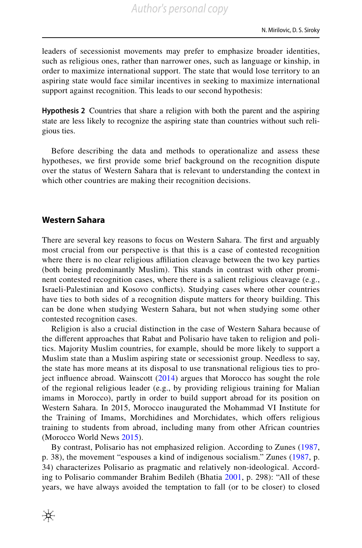leaders of secessionist movements may prefer to emphasize broader identities, such as religious ones, rather than narrower ones, such as language or kinship, in order to maximize international support. The state that would lose territory to an aspiring state would face similar incentives in seeking to maximize international support against recognition. This leads to our second hypothesis:

**Hypothesis 2** Countries that share a religion with both the parent and the aspiring state are less likely to recognize the aspiring state than countries without such religious ties.

Before describing the data and methods to operationalize and assess these hypotheses, we frst provide some brief background on the recognition dispute over the status of Western Sahara that is relevant to understanding the context in which other countries are making their recognition decisions.

# **Western Sahara**

₩

There are several key reasons to focus on Western Sahara. The frst and arguably most crucial from our perspective is that this is a case of contested recognition where there is no clear religious affiliation cleavage between the two key parties (both being predominantly Muslim). This stands in contrast with other prominent contested recognition cases, where there is a salient religious cleavage (e.g., Israeli-Palestinian and Kosovo conficts). Studying cases where other countries have ties to both sides of a recognition dispute matters for theory building. This can be done when studying Western Sahara, but not when studying some other contested recognition cases.

Religion is also a crucial distinction in the case of Western Sahara because of the diferent approaches that Rabat and Polisario have taken to religion and politics. Majority Muslim countries, for example, should be more likely to support a Muslim state than a Muslim aspiring state or secessionist group. Needless to say, the state has more means at its disposal to use transnational religious ties to project infuence abroad. Wainscott ([2014\)](#page-17-19) argues that Morocco has sought the role of the regional religious leader (e.g., by providing religious training for Malian imams in Morocco), partly in order to build support abroad for its position on Western Sahara. In 2015, Morocco inaugurated the Mohammad VI Institute for the Training of Imams, Morchidines and Morchidates, which ofers religious training to students from abroad, including many from other African countries (Morocco World News [2015](#page-17-20)).

By contrast, Polisario has not emphasized religion. According to Zunes [\(1987,](#page-18-1) p. 38), the movement "espouses a kind of indigenous socialism." Zunes ([1987](#page-18-1), p. 34) characterizes Polisario as pragmatic and relatively non-ideological. According to Polisario commander Brahim Bedileh (Bhatia [2001,](#page-16-18) p. 298): "All of these years, we have always avoided the temptation to fall (or to be closer) to closed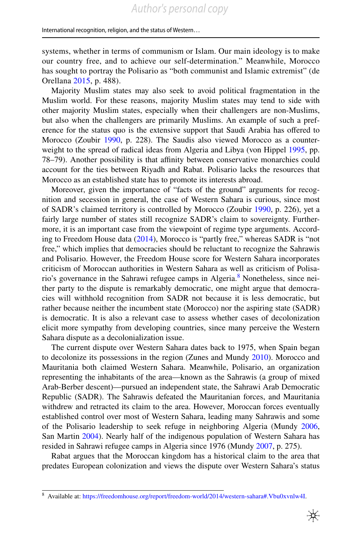systems, whether in terms of communism or Islam. Our main ideology is to make our country free, and to achieve our self-determination." Meanwhile, Morocco has sought to portray the Polisario as "both communist and Islamic extremist" (de Orellana [2015,](#page-16-19) p. 488).

Majority Muslim states may also seek to avoid political fragmentation in the Muslim world. For these reasons, majority Muslim states may tend to side with other majority Muslim states, especially when their challengers are non-Muslims, but also when the challengers are primarily Muslims. An example of such a preference for the status quo is the extensive support that Saudi Arabia has ofered to Morocco (Zoubir [1990](#page-18-0), p. 228). The Saudis also viewed Morocco as a counterweight to the spread of radical ideas from Algeria and Libya (von Hippel [1995](#page-17-10), pp. 78–79). Another possibility is that afnity between conservative monarchies could account for the ties between Riyadh and Rabat. Polisario lacks the resources that Morocco as an established state has to promote its interests abroad.

Moreover, given the importance of "facts of the ground" arguments for recognition and secession in general, the case of Western Sahara is curious, since most of SADR's claimed territory is controlled by Morocco (Zoubir [1990,](#page-18-0) p. 226), yet a fairly large number of states still recognize SADR's claim to sovereignty. Furthermore, it is an important case from the viewpoint of regime type arguments. According to Freedom House data ([2014\)](#page-16-20), Morocco is "partly free," whereas SADR is "not free," which implies that democracies should be reluctant to recognize the Sahrawis and Polisario. However, the Freedom House score for Western Sahara incorporates criticism of Moroccan authorities in Western Sahara as well as criticism of Polisario's governance in the Sahrawi refugee camps in Algeria.<sup>8</sup> Nonetheless, since neither party to the dispute is remarkably democratic, one might argue that democracies will withhold recognition from SADR not because it is less democratic, but rather because neither the incumbent state (Morocco) nor the aspiring state (SADR) is democratic. It is also a relevant case to assess whether cases of decolonization elicit more sympathy from developing countries, since many perceive the Western Sahara dispute as a decolonialization issue.

The current dispute over Western Sahara dates back to 1975, when Spain began to decolonize its possessions in the region (Zunes and Mundy [2010\)](#page-18-2). Morocco and Mauritania both claimed Western Sahara. Meanwhile, Polisario, an organization representing the inhabitants of the area—known as the Sahrawis (a group of mixed Arab-Berber descent)—pursued an independent state, the Sahrawi Arab Democratic Republic (SADR). The Sahrawis defeated the Mauritanian forces, and Mauritania withdrew and retracted its claim to the area. However, Moroccan forces eventually established control over most of Western Sahara, leading many Sahrawis and some of the Polisario leadership to seek refuge in neighboring Algeria (Mundy [2006,](#page-17-21) San Martin [2004\)](#page-17-22). Nearly half of the indigenous population of Western Sahara has resided in Sahrawi refugee camps in Algeria since 1976 (Mundy [2007,](#page-17-23) p. 275).

Rabat argues that the Moroccan kingdom has a historical claim to the area that predates European colonization and views the dispute over Western Sahara's status

<span id="page-8-0"></span><sup>8</sup> Available at: [https://freedomhouse.org/report/freedom-world/2014/western-sahara#.Vbu0xvnlw4I.](https://freedomhouse.org/report/freedom-world/2014/western-sahara#.Vbu0xvnlw4I)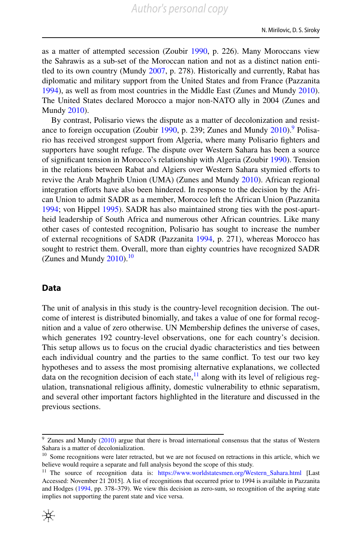as a matter of attempted secession (Zoubir [1990,](#page-18-0) p. 226). Many Moroccans view the Sahrawis as a sub-set of the Moroccan nation and not as a distinct nation entitled to its own country (Mundy [2007,](#page-17-23) p. 278). Historically and currently, Rabat has diplomatic and military support from the United States and from France (Pazzanita [1994](#page-17-24)), as well as from most countries in the Middle East (Zunes and Mundy [2010\)](#page-18-2). The United States declared Morocco a major non-NATO ally in 2004 (Zunes and Mundy [2010](#page-18-2)).

By contrast, Polisario views the dispute as a matter of decolonization and resist-ance to foreign occupation (Zoubir [1990,](#page-18-0) p. 239; Zunes and Mundy [2010](#page-18-2)). Polisario has received strongest support from Algeria, where many Polisario fghters and supporters have sought refuge. The dispute over Western Sahara has been a source of signifcant tension in Morocco's relationship with Algeria (Zoubir [1990](#page-18-0)). Tension in the relations between Rabat and Algiers over Western Sahara stymied efforts to revive the Arab Maghrib Union (UMA) (Zunes and Mundy [2010](#page-18-2)). African regional integration efforts have also been hindered. In response to the decision by the African Union to admit SADR as a member, Morocco left the African Union (Pazzanita [1994](#page-17-24); von Hippel [1995](#page-17-10)). SADR has also maintained strong ties with the post-apartheid leadership of South Africa and numerous other African countries. Like many other cases of contested recognition, Polisario has sought to increase the number of external recognitions of SADR (Pazzanita [1994](#page-17-24), p. 271), whereas Morocco has sought to restrict them. Overall, more than eighty countries have recognized SADR (Zunes and Mundy  $2010$ ).<sup>10</sup>

# **Data**

The unit of analysis in this study is the country-level recognition decision. The outcome of interest is distributed binomially, and takes a value of one for formal recognition and a value of zero otherwise. UN Membership defnes the universe of cases, which generates 192 country-level observations, one for each country's decision. This setup allows us to focus on the crucial dyadic characteristics and ties between each individual country and the parties to the same confict. To test our two key hypotheses and to assess the most promising alternative explanations, we collected data on the recognition decision of each state,  $\frac{11}{11}$  along with its level of religious regulation, transnational religious affinity, domestic vulnerability to ethnic separatism, and several other important factors highlighted in the literature and discussed in the previous sections.

<span id="page-9-2"></span><sup>&</sup>lt;sup>11</sup> The source of recognition data is: [https://www.worldstatesmen.org/Western\\_Sahara.html](https://www.worldstatesmen.org/Western_Sahara.html) [Last Accessed: November 21 2015]. A list of recognitions that occurred prior to 1994 is available in Pazzanita and Hodges [\(1994](#page-17-25), pp. 378–379). We view this decision as zero-sum, so recognition of the aspring state implies not supporting the parent state and vice versa.



<span id="page-9-0"></span><sup>&</sup>lt;sup>9</sup> Zunes and Mundy ([2010\)](#page-18-2) argue that there is broad international consensus that the status of Western Sahara is a matter of decolonialization.

<span id="page-9-1"></span><sup>&</sup>lt;sup>10</sup> Some recognitions were later retracted, but we are not focused on retractions in this article, which we believe would require a separate and full analysis beyond the scope of this study.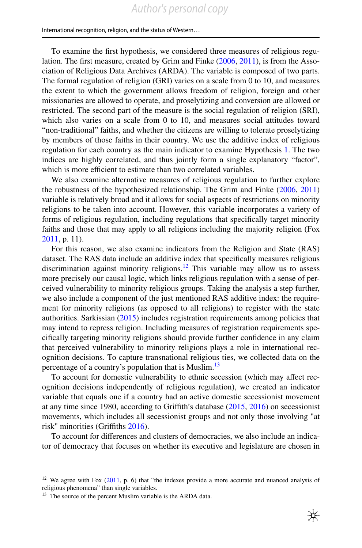To examine the frst hypothesis, we considered three measures of religious regulation. The frst measure, created by Grim and Finke ([2006,](#page-16-9) [2011\)](#page-16-10), is from the Association of Religious Data Archives (ARDA). The variable is composed of two parts. The formal regulation of religion (GRI) varies on a scale from 0 to 10, and measures the extent to which the government allows freedom of religion, foreign and other missionaries are allowed to operate, and proselytizing and conversion are allowed or restricted. The second part of the measure is the social regulation of religion (SRI), which also varies on a scale from 0 to 10, and measures social attitudes toward "non-traditional" faiths, and whether the citizens are willing to tolerate proselytizing by members of those faiths in their country. We use the additive index of religious regulation for each country as the main indicator to examine Hypothesis [1.](#page-5-1) The two indices are highly correlated, and thus jointly form a single explanatory "factor", which is more efficient to estimate than two correlated variables.

We also examine alternative measures of religious regulation to further explore the robustness of the hypothesized relationship. The Grim and Finke [\(2006](#page-16-9), [2011](#page-16-10)) variable is relatively broad and it allows for social aspects of restrictions on minority religions to be taken into account. However, this variable incorporates a variety of forms of religious regulation, including regulations that specifcally target minority faiths and those that may apply to all religions including the majority religion (Fox [2011](#page-16-12), p. 11).

For this reason, we also examine indicators from the Religion and State (RAS) dataset. The RAS data include an additive index that specifcally measures religious discrimination against minority religions.<sup>12</sup> This variable may allow us to assess more precisely our causal logic, which links religious regulation with a sense of perceived vulnerability to minority religious groups. Taking the analysis a step further, we also include a component of the just mentioned RAS additive index: the requirement for minority religions (as opposed to all religions) to register with the state authorities. Sarkissian [\(2015](#page-17-14)) includes registration requirements among policies that may intend to repress religion. Including measures of registration requirements specifcally targeting minority religions should provide further confdence in any claim that perceived vulnerability to minority religions plays a role in international recognition decisions. To capture transnational religious ties, we collected data on the percentage of a country's population that is Muslim.<sup>13</sup>

To account for domestic vulnerability to ethnic secession (which may afect recognition decisions independently of religious regulation), we created an indicator variable that equals one if a country had an active domestic secessionist movement at any time since 1980, according to Grifth's database ([2015,](#page-16-21) [2016\)](#page-16-22) on secessionist movements, which includes all secessionist groups and not only those involving "at risk" minorities (Griffiths [2016](#page-16-22)).

To account for diferences and clusters of democracies, we also include an indicator of democracy that focuses on whether its executive and legislature are chosen in

<span id="page-10-0"></span><sup>&</sup>lt;sup>12</sup> We agree with Fox  $(2011, p. 6)$  $(2011, p. 6)$  that "the indexes provide a more accurate and nuanced analysis of religious phenomena" than single variables.

<span id="page-10-1"></span><sup>&</sup>lt;sup>13</sup> The source of the percent Muslim variable is the ARDA data.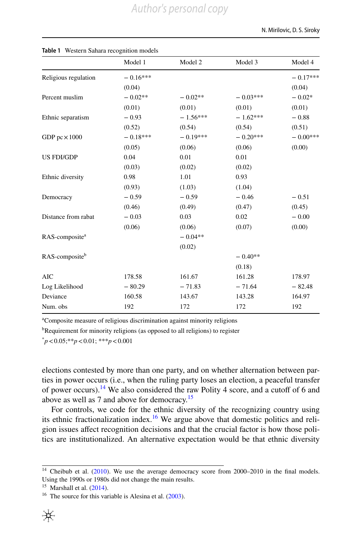|                            | Model 1    | Model 2    | Model 3    | Model 4    |
|----------------------------|------------|------------|------------|------------|
| Religious regulation       | $-0.16***$ |            |            | $-0.17***$ |
|                            | (0.04)     |            |            | (0.04)     |
| Percent muslim             | $-0.02**$  | $-0.02**$  | $-0.03***$ | $-0.02*$   |
|                            | (0.01)     | (0.01)     | (0.01)     | (0.01)     |
| Ethnic separatism          | $-0.93$    | $-1.56***$ | $-1.62***$ | $-0.88$    |
|                            | (0.52)     | (0.54)     | (0.54)     | (0.51)     |
| GDP $pc \times 1000$       | $-0.18***$ | $-0.19***$ | $-0.20***$ | $-0.00***$ |
|                            | (0.05)     | (0.06)     | (0.06)     | (0.00)     |
| <b>US FDI/GDP</b>          | 0.04       | 0.01       | 0.01       |            |
|                            | (0.03)     | (0.02)     | (0.02)     |            |
| Ethnic diversity           | 0.98       | 1.01       | 0.93       |            |
|                            | (0.93)     | (1.03)     | (1.04)     |            |
| Democracy                  | $-0.59$    | $-0.59$    | $-0.46$    | $-0.51$    |
|                            | (0.46)     | (0.49)     | (0.47)     | (0.45)     |
| Distance from rabat        | $-0.03$    | 0.03       | 0.02       | $-0.00$    |
|                            | (0.06)     | (0.06)     | (0.07)     | (0.00)     |
| RAS-composite <sup>a</sup> |            | $-0.04**$  |            |            |
|                            |            | (0.02)     |            |            |
| RAS-composite <sup>b</sup> |            |            | $-0.40**$  |            |
|                            |            |            | (0.18)     |            |
| <b>AIC</b>                 | 178.58     | 161.67     | 161.28     | 178.97     |
| Log Likelihood             | $-80.29$   | $-71.83$   | $-71.64$   | $-82.48$   |
| Deviance                   | 160.58     | 143.67     | 143.28     | 164.97     |
| Num. obs                   | 192        | 172        | 172        | 192        |

#### <span id="page-11-3"></span>**Table 1** Western Sahara recognition models

a Composite measure of religious discrimination against minority religions

<sup>b</sup>Requirement for minority religions (as opposed to all religions) to register

\* *p*<0.05;\*\**p*<0.01; \*\*\**p*<0.001

elections contested by more than one party, and on whether alternation between parties in power occurs (i.e., when the ruling party loses an election, a peaceful transfer of power occurs).<sup>14</sup> We also considered the raw Polity 4 score, and a cutoff of 6 and above as well as 7 and above for democracy.<sup>[15](#page-11-1)</sup>

For controls, we code for the ethnic diversity of the recognizing country using its ethnic fractionalization index.<sup>16</sup> We argue above that domestic politics and religion issues afect recognition decisions and that the crucial factor is how those politics are institutionalized. An alternative expectation would be that ethnic diversity

<span id="page-11-0"></span><sup>&</sup>lt;sup>14</sup> Cheibub et al. ([2010\)](#page-16-23). We use the average democracy score from 2000–2010 in the final models. Using the 1990s or 1980s did not change the main results.

<span id="page-11-1"></span> $15$  Marshall et al.  $(2014)$  $(2014)$ .

<span id="page-11-2"></span><sup>&</sup>lt;sup>16</sup> The source for this variable is Alesina et al.  $(2003)$  $(2003)$ .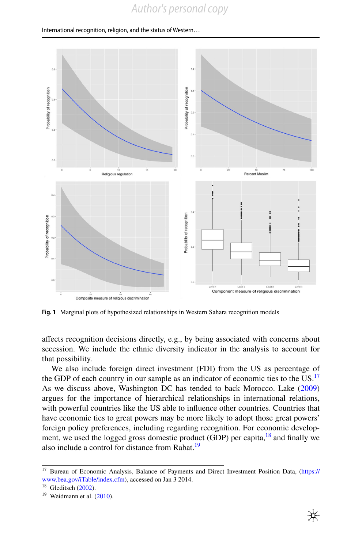

<span id="page-12-3"></span>**Fig. 1** Marginal plots of hypothesized relationships in Western Sahara recognition models

afects recognition decisions directly, e.g., by being associated with concerns about secession. We include the ethnic diversity indicator in the analysis to account for that possibility.

We also include foreign direct investment (FDI) from the US as percentage of the GDP of each country in our sample as an indicator of economic ties to the  $US<sup>17</sup>$  $US<sup>17</sup>$  $US<sup>17</sup>$ As we discuss above, Washington DC has tended to back Morocco. Lake [\(2009](#page-17-27)) argues for the importance of hierarchical relationships in international relations, with powerful countries like the US able to infuence other countries. Countries that have economic ties to great powers may be more likely to adopt those great powers' foreign policy preferences, including regarding recognition. For economic development, we used the logged gross domestic product (GDP) per capita, $^{18}$  and finally we also include a control for distance from Rabat.<sup>19</sup>

<span id="page-12-0"></span><sup>&</sup>lt;sup>17</sup> Bureau of Economic Analysis, Balance of Payments and Direct Investment Position Data, [\(https://](https://www.bea.gov/iTable/index.cfm) [www.bea.gov/iTable/index.cfm](https://www.bea.gov/iTable/index.cfm)), accessed on Jan 3 2014.

<span id="page-12-1"></span> $18$  Gleditsch ([2002\)](#page-16-25).

<span id="page-12-2"></span> $19$  Weidmann et al.  $(2010)$  $(2010)$ .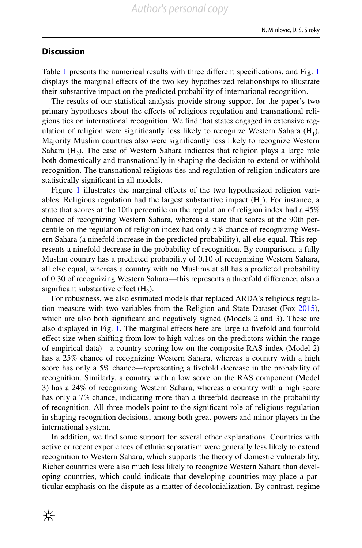# **Discussion**

Table [1](#page-11-3) presents the numerical results with three diferent specifcations, and Fig. [1](#page-12-3) displays the marginal efects of the two key hypothesized relationships to illustrate their substantive impact on the predicted probability of international recognition.

The results of our statistical analysis provide strong support for the paper's two primary hypotheses about the efects of religious regulation and transnational religious ties on international recognition. We fnd that states engaged in extensive regulation of religion were significantly less likely to recognize Western Sahara  $(H_1)$ . Majority Muslim countries also were signifcantly less likely to recognize Western Sahara  $(H<sub>2</sub>)$ . The case of Western Sahara indicates that religion plays a large role both domestically and transnationally in shaping the decision to extend or withhold recognition. The transnational religious ties and regulation of religion indicators are statistically signifcant in all models.

Figure [1](#page-12-3) illustrates the marginal effects of the two hypothesized religion variables. Religious regulation had the largest substantive impact  $(H_1)$ . For instance, a state that scores at the 10th percentile on the regulation of religion index had a 45% chance of recognizing Western Sahara, whereas a state that scores at the 90th percentile on the regulation of religion index had only 5% chance of recognizing Western Sahara (a ninefold increase in the predicted probability), all else equal. This represents a ninefold decrease in the probability of recognition. By comparison, a fully Muslim country has a predicted probability of 0.10 of recognizing Western Sahara, all else equal, whereas a country with no Muslims at all has a predicted probability of 0.30 of recognizing Western Sahara—this represents a threefold diference, also a significant substantive effect  $(H_2)$ .

For robustness, we also estimated models that replaced ARDA's religious regulation measure with two variables from the Religion and State Dataset (Fox [2015\)](#page-16-26), which are also both significant and negatively signed (Models 2 and 3). These are also displayed in Fig. [1](#page-12-3). The marginal efects here are large (a fvefold and fourfold efect size when shifting from low to high values on the predictors within the range of empirical data)—a country scoring low on the composite RAS index (Model 2) has a 25% chance of recognizing Western Sahara, whereas a country with a high score has only a 5% chance—representing a fvefold decrease in the probability of recognition. Similarly, a country with a low score on the RAS component (Model 3) has a 24% of recognizing Western Sahara, whereas a country with a high score has only a 7% chance, indicating more than a threefold decrease in the probability of recognition. All three models point to the signifcant role of religious regulation in shaping recognition decisions, among both great powers and minor players in the international system.

In addition, we fnd some support for several other explanations. Countries with active or recent experiences of ethnic separatism were generally less likely to extend recognition to Western Sahara, which supports the theory of domestic vulnerability. Richer countries were also much less likely to recognize Western Sahara than developing countries, which could indicate that developing countries may place a particular emphasis on the dispute as a matter of decolonialization. By contrast, regime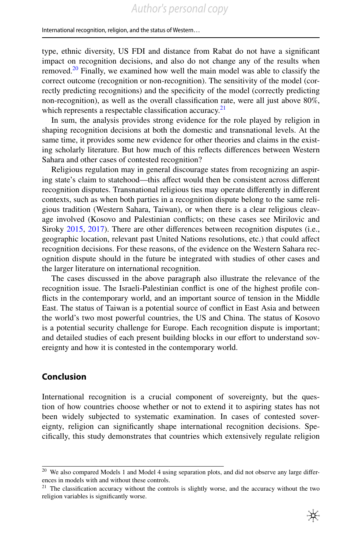type, ethnic diversity, US FDI and distance from Rabat do not have a signifcant impact on recognition decisions, and also do not change any of the results when removed.<sup>20</sup> Finally, we examined how well the main model was able to classify the correct outcome (recognition or non-recognition). The sensitivity of the model (correctly predicting recognitions) and the specifcity of the model (correctly predicting non-recognition), as well as the overall classifcation rate, were all just above 80%, which represents a respectable classification accuracy.<sup>[21](#page-14-1)</sup>

In sum, the analysis provides strong evidence for the role played by religion in shaping recognition decisions at both the domestic and transnational levels. At the same time, it provides some new evidence for other theories and claims in the existing scholarly literature. But how much of this refects diferences between Western Sahara and other cases of contested recognition?

Religious regulation may in general discourage states from recognizing an aspiring state's claim to statehood—this afect would then be consistent across diferent recognition disputes. Transnational religious ties may operate diferently in diferent contexts, such as when both parties in a recognition dispute belong to the same religious tradition (Western Sahara, Taiwan), or when there is a clear religious cleavage involved (Kosovo and Palestinian conficts; on these cases see Mirilovic and Siroky [2015,](#page-17-29) [2017\)](#page-17-30). There are other diferences between recognition disputes (i.e., geographic location, relevant past United Nations resolutions, etc.) that could afect recognition decisions. For these reasons, of the evidence on the Western Sahara recognition dispute should in the future be integrated with studies of other cases and the larger literature on international recognition.

The cases discussed in the above paragraph also illustrate the relevance of the recognition issue. The Israeli-Palestinian confict is one of the highest profle conficts in the contemporary world, and an important source of tension in the Middle East. The status of Taiwan is a potential source of confict in East Asia and between the world's two most powerful countries, the US and China. The status of Kosovo is a potential security challenge for Europe. Each recognition dispute is important; and detailed studies of each present building blocks in our effort to understand sovereignty and how it is contested in the contemporary world.

# **Conclusion**

International recognition is a crucial component of sovereignty, but the question of how countries choose whether or not to extend it to aspiring states has not been widely subjected to systematic examination. In cases of contested sovereignty, religion can signifcantly shape international recognition decisions. Specifcally, this study demonstrates that countries which extensively regulate religion

<span id="page-14-0"></span><sup>&</sup>lt;sup>20</sup> We also compared Models 1 and Model 4 using separation plots, and did not observe any large differences in models with and without these controls.

<span id="page-14-1"></span> $21$  The classification accuracy without the controls is slightly worse, and the accuracy without the two religion variables is signifcantly worse.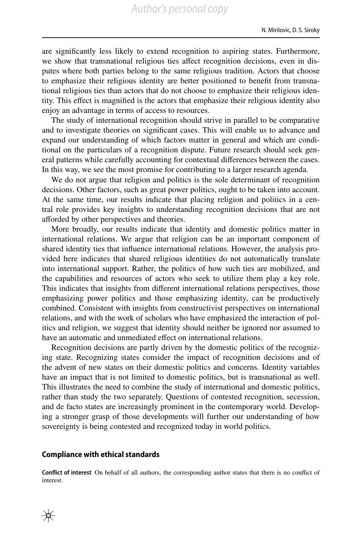are signifcantly less likely to extend recognition to aspiring states. Furthermore, we show that transnational religious ties afect recognition decisions, even in disputes where both parties belong to the same religious tradition. Actors that choose to emphasize their religious identity are better positioned to beneft from transnational religious ties than actors that do not choose to emphasize their religious identity. This efect is magnifed is the actors that emphasize their religious identity also enjoy an advantage in terms of access to resources.

The study of international recognition should strive in parallel to be comparative and to investigate theories on signifcant cases. This will enable us to advance and expand our understanding of which factors matter in general and which are conditional on the particulars of a recognition dispute. Future research should seek general patterns while carefully accounting for contextual diferences between the cases. In this way, we see the most promise for contributing to a larger research agenda.

We do not argue that religion and politics is the sole determinant of recognition decisions. Other factors, such as great power politics, ought to be taken into account. At the same time, our results indicate that placing religion and politics in a central role provides key insights to understanding recognition decisions that are not aforded by other perspectives and theories.

More broadly, our results indicate that identity and domestic politics matter in international relations. We argue that religion can be an important component of shared identity ties that infuence international relations. However, the analysis provided here indicates that shared religious identities do not automatically translate into international support. Rather, the politics of how such ties are mobilized, and the capabilities and resources of actors who seek to utilize them play a key role. This indicates that insights from diferent international relations perspectives, those emphasizing power politics and those emphasizing identity, can be productively combined. Consistent with insights from constructivist perspectives on international relations, and with the work of scholars who have emphasized the interaction of politics and religion, we suggest that identity should neither be ignored nor assumed to have an automatic and unmediated effect on international relations.

Recognition decisions are partly driven by the domestic politics of the recognizing state. Recognizing states consider the impact of recognition decisions and of the advent of new states on their domestic politics and concerns. Identity variables have an impact that is not limited to domestic politics, but is transnational as well. This illustrates the need to combine the study of international and domestic politics, rather than study the two separately. Questions of contested recognition, secession, and de facto states are increasingly prominent in the contemporary world. Developing a stronger grasp of those developments will further our understanding of how sovereignty is being contested and recognized today in world politics.

#### **Compliance with ethical standards**

**Confict of interest** On behalf of all authors, the corresponding author states that there is no confict of interest.

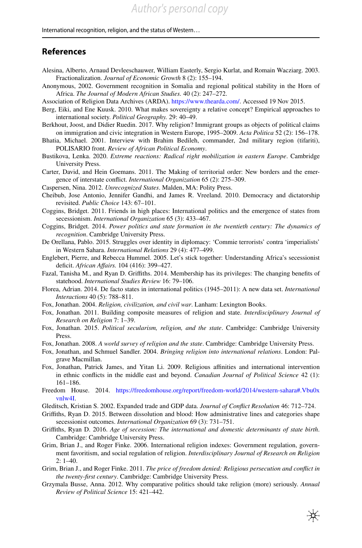# **References**

- <span id="page-16-24"></span>Alesina, Alberto, Arnaud Devleeschauwer, William Easterly, Sergio Kurlat, and Romain Wacziarg. 2003. Fractionalization. *Journal of Economic Growth* 8 (2): 155–194.
- <span id="page-16-6"></span>Anonymous, 2002. Government recognition in Somalia and regional political stability in the Horn of Africa. *The Journal of Modern African Studies.* 40 (2): 247–272.
- Association of Religion Data Archives (ARDA). [https://www.thearda.com/.](http://www.thearda.com/) Accessed 19 Nov 2015.
- <span id="page-16-4"></span>Berg, Eiki, and Ene Kuusk. 2010. What makes sovereignty a relative concept? Empirical approaches to international society. *Political Geography.* 29: 40–49.
- <span id="page-16-14"></span>Berkhout, Joost, and Didier Ruedin. 2017. Why religion? Immigrant groups as objects of political claims on immigration and civic integration in Western Europe, 1995–2009. *Acta Politica* 52 (2): 156–178.
- <span id="page-16-18"></span>Bhatia, Michael. 2001. Interview with Brahim Bedileh, commander, 2nd military region (tifariti), POLISARIO front. *Review of African Political Economy*.
- <span id="page-16-15"></span>Bustikova, Lenka. 2020. *Extreme reactions: Radical right mobilization in eastern Europe*. Cambridge University Press.
- <span id="page-16-5"></span>Carter, David, and Hein Goemans. 2011. The Making of territorial order: New borders and the emergence of interstate confict. *International Organization* 65 (2): 275–309.
- <span id="page-16-3"></span>Caspersen, Nina. 2012. *Unrecognized States*. Malden, MA: Polity Press.
- <span id="page-16-23"></span>Cheibub, Jose Antonio, Jennifer Gandhi, and James R. Vreeland. 2010. Democracy and dictatorship revisited. *Public Choice* 143: 67–101.
- <span id="page-16-0"></span>Coggins, Bridget. 2011. Friends in high places: International politics and the emergence of states from secessionism. *International Organization* 65 (3): 433–467.
- Coggins, Bridget. 2014. *Power politics and state formation in the twentieth century: The dynamics of recognition*. Cambridge University Press.
- <span id="page-16-19"></span>De Orellana, Pablo. 2015. Struggles over identity in diplomacy: 'Commie terrorists' contra 'imperialists' in Western Sahara. *International Relations* 29 (4): 477–499.
- <span id="page-16-1"></span>Englebert, Pierre, and Rebecca Hummel. 2005. Let's stick together: Understanding Africa's secessionist defcit. *African Afairs.* 104 (416): 399–427.
- <span id="page-16-7"></span>Fazal, Tanisha M., and Ryan D. Grifths. 2014. Membership has its privileges: The changing benefts of statehood. *International Studies Review* 16: 79–106.
- <span id="page-16-2"></span>Florea, Adrian. 2014. De facto states in international politics (1945–2011): A new data set. *International Interactions* 40 (5): 788–811.
- <span id="page-16-13"></span>Fox, Jonathan. 2004. *Religion, civilization, and civil war*. Lanham: Lexington Books.
- <span id="page-16-12"></span>Fox, Jonathan. 2011. Building composite measures of religion and state. *Interdisciplinary Journal of Research on Religion* 7: 1–39.
- <span id="page-16-26"></span>Fox, Jonathan. 2015. *Political secularism, religion, and the state*. Cambridge: Cambridge University Press.
- <span id="page-16-11"></span>Fox, Jonathan. 2008. *A world survey of religion and the state*. Cambridge: Cambridge University Press.
- <span id="page-16-17"></span>Fox, Jonathan, and Schmuel Sandler. 2004. *Bringing religion into international relations*. London: Palgrave Macmillan.
- <span id="page-16-16"></span>Fox, Jonathan, Patrick James, and Yitan Li. 2009. Religious affinities and international intervention in ethnic conficts in the middle east and beyond. *Canadian Journal of Political Science* 42 (1): 161–186.
- <span id="page-16-20"></span>Freedom House. 2014. [https://freedomhouse.org/report/freedom-world/2014/western-sahara#.Vbu0x](https://freedomhouse.org/report/freedom-world/2014/western-sahara#.Vbu0xvnlw4I) [vnlw4I.](https://freedomhouse.org/report/freedom-world/2014/western-sahara#.Vbu0xvnlw4I)
- <span id="page-16-25"></span>Gleditsch, Kristian S. 2002. Expanded trade and GDP data. *Journal of Confict Resolution* 46: 712–724.
- <span id="page-16-21"></span>Grifths, Ryan D. 2015. Between dissolution and blood: How administrative lines and categories shape secessionist outcomes. *International Organization* 69 (3): 731–751.
- <span id="page-16-22"></span>Grifths, Ryan D. 2016. *Age of secession: The international and domestic determinants of state birth*. Cambridge: Cambridge University Press.
- <span id="page-16-9"></span>Grim, Brian J., and Roger Finke. 2006. International religion indexes: Government regulation, government favoritism, and social regulation of religion. *Interdisciplinary Journal of Research on Religion* 2: 1–40.
- <span id="page-16-10"></span>Grim, Brian J., and Roger Finke. 2011. *The price of freedom denied: Religious persecution and confict in the twenty-frst century*. Cambridge: Cambridge University Press.
- <span id="page-16-8"></span>Grzymala Busse, Anna. 2012. Why comparative politics should take religion (more) seriously. *Annual Review of Political Science* 15: 421–442.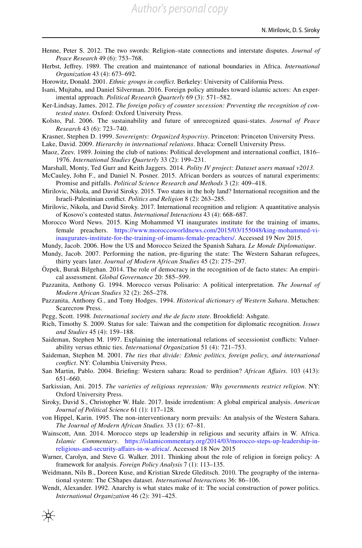- <span id="page-17-13"></span>Henne, Peter S. 2012. The two swords: Religion–state connections and interstate disputes. *Journal of Peace Research* 49 (6): 753–768.
- <span id="page-17-6"></span>Herbst, Jefrey. 1989. The creation and maintenance of national boundaries in Africa. *International Organization* 43 (4): 673–692.
- <span id="page-17-15"></span>Horowitz, Donald. 2001. *Ethnic groups in confict*. Berkeley: University of California Press.

<span id="page-17-16"></span>Isani, Mujtaba, and Daniel Silverman. 2016. Foreign policy attitudes toward islamic actors: An experimental approach. *Political Research Quarterly* 69 (3): 571–582.

- <span id="page-17-2"></span>Ker-Lindsay, James. 2012. *The foreign policy of counter secession: Preventing the recognition of contested states*. Oxford: Oxford University Press.
- <span id="page-17-4"></span>Kolsto, Pal. 2006. The sustainability and future of unrecognized quasi-states. *Journal of Peace Research* 43 (6): 723–740.
- <span id="page-17-0"></span>Krasner, Stephen D. 1999. *Sovereignty: Organized hypocrisy*. Princeton: Princeton University Press.

<span id="page-17-27"></span>Lake, David. 2009. *Hierarchy in international relations*. Ithaca: Cornell University Press.

- <span id="page-17-17"></span>Maoz, Zeev. 1989. Joining the club of nations: Political development and international confict, 1816– 1976. *International Studies Quarterly* 33 (2): 199–231.
- <span id="page-17-26"></span>Marshall, Monty, Ted Gurr and Keith Jaggers. 2014. *Polity IV project: Dataset users manual v2013.*
- <span id="page-17-5"></span>McCauley, John F., and Daniel N. Posner. 2015. African borders as sources of natural experiments: Promise and pitfalls. *Political Science Research and Methods* 3 (2): 409–418.
- <span id="page-17-29"></span>Mirilovic, Nikola, and David Siroky. 2015. Two states in the holy land? International recognition and the Israeli-Palestinian confict. *Politics and Religion* 8 (2): 263–285.
- <span id="page-17-30"></span>Mirilovic, Nikola, and David Siroky. 2017. International recognition and religion: A quantitative analysis of Kosovo's contested status. *International Interactions* 43 (4): 668–687.
- <span id="page-17-20"></span>Morocco Word News. 2015. King Mohammed VI inaugurates institute for the training of imams, female preachers. [https://www.moroccoworldnews.com/2015/03/155048/king-mohammed-vi](http://www.moroccoworldnews.com/2015/03/155048/king-mohammed-vi-inaugurates-institute-for-the-training-of-imams-female-preachers/)[inaugurates-institute-for-the-training-of-imams-female-preachers/.](http://www.moroccoworldnews.com/2015/03/155048/king-mohammed-vi-inaugurates-institute-for-the-training-of-imams-female-preachers/) Accessed 19 Nov 2015.
- <span id="page-17-21"></span>Mundy, Jacob. 2006. How the US and Morocco Seized the Spanish Sahara. *Le Monde Diplomatique*.
- <span id="page-17-23"></span>Mundy, Jacob. 2007. Performing the nation, pre-fguring the state: The Western Saharan refugees, thirty years later. *Journal of Modern African Studies* 45 (2): 275–297.
- <span id="page-17-9"></span>Özpek, Burak Bilgehan. 2014. The role of democracy in the recognition of de facto states: An empirical assessment. *Global Governance* 20: 585–599.
- <span id="page-17-24"></span>Pazzanita, Anthony G. 1994. Morocco versus Polisario: A political interpretation. *The Journal of Modern African Studies* 32 (2): 265–278.
- <span id="page-17-25"></span>Pazzanita, Anthony G., and Tony Hodges. 1994. *Historical dictionary of Western Sahara*. Metuchen: Scarecrow Press.
- <span id="page-17-3"></span>Pegg, Scott. 1998. *International society and the de facto state*. Brookfeld: Ashgate.
- <span id="page-17-1"></span>Rich, Timothy S. 2009. Status for sale: Taiwan and the competition for diplomatic recognition. *Issues and Studies* 45 (4): 159–188.
- <span id="page-17-7"></span>Saideman, Stephen M. 1997. Explaining the international relations of secessionist conficts: Vulnerability versus ethnic ties. *International Organization* 51 (4): 721–753.
- <span id="page-17-18"></span>Saideman, Stephen M. 2001. *The ties that divide: Ethnic politics, foreign policy, and international confict*. NY: Columbia University Press.
- <span id="page-17-22"></span>San Martin, Pablo. 2004. Briefng: Western sahara: Road to perdition? *African Afairs.* 103 (413): 651–660.
- <span id="page-17-14"></span>Sarkissian, Ani. 2015. *The varieties of religious repression: Why governments restrict religion*. NY: Oxford University Press.
- <span id="page-17-8"></span>Siroky, David S., Christopher W. Hale. 2017. Inside irredentism: A global empirical analysis. *American Journal of Political Science* 61 (1): 117–128.
- <span id="page-17-10"></span>von Hippel, Karin. 1995. The non-interventionary norm prevails: An analysis of the Western Sahara. *The Journal of Modern African Studies.* 33 (1): 67–81.
- <span id="page-17-19"></span>Wainscott, Ann. 2014. Morocco steps up leadership in religious and security afairs in W. Africa. *Islamic Commentary*. [https://islamicommentary.org/2014/03/morocco-steps-up-leadership-in](http://islamicommentary.org/2014/03/morocco-steps-up-leadership-in-religious-and-security-affairs-in-w-africa/)[religious-and-security-afairs-in-w-africa/.](http://islamicommentary.org/2014/03/morocco-steps-up-leadership-in-religious-and-security-affairs-in-w-africa/) Accessed 18 Nov 2015
- <span id="page-17-12"></span>Warner, Carolyn, and Steve G. Walker. 2011. Thinking about the role of religion in foreign policy: A framework for analysis. *Foreign Policy Analysis* 7 (1): 113–135.
- <span id="page-17-28"></span>Weidmann, Nils B., Doreen Kuse, and Kristian Skrede Gleditsch. 2010. The geography of the international system: The CShapes dataset. *International Interactions* 36: 86–106.
- <span id="page-17-11"></span>Wendt, Alexander. 1992. Anarchy is what states make of it: The social construction of power politics. *International Organization* 46 (2): 391–425.